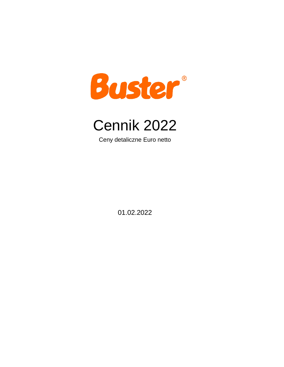



Ceny detaliczne Euro netto

01.02.2022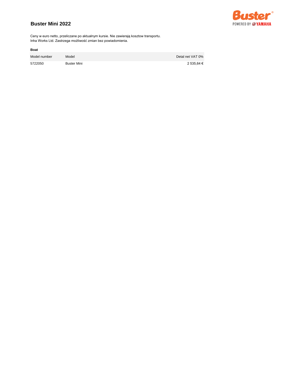## **Buster Mini 2022**



Ceny w euro netto, przeliczane po aktualnym kursie. Nie zawierają kosztow transportu. Inha Works Ltd. Zastrzega możliwość zmian bez powiadomienia.

| Model number | Model       | Detal net VAT 0% |
|--------------|-------------|------------------|
| 5722050      | Buster Mini | 2 535.64 €       |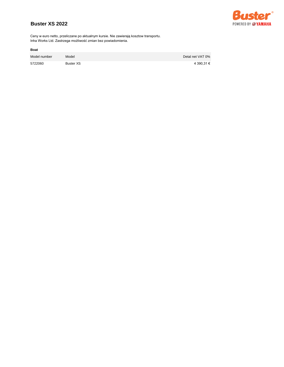## **Buster XS 2022**



Ceny w euro netto, przeliczane po aktualnym kursie. Nie zawierają kosztow transportu. Inha Works Ltd. Zastrzega możliwość zmian bez powiadomienia.

| Model number | Model            | Detal net VAT 0% |
|--------------|------------------|------------------|
| 5722060      | <b>Buster XS</b> | 4 390.31 €       |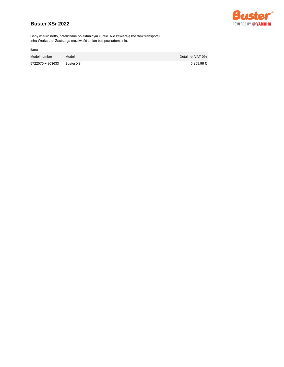## **Buster XSr 2022**



Ceny w euro netto, przeliczane po aktualnym kursie. Nie zawierają kosztow transportu. Inha Works Ltd. Zastrzega możliwość zmian bez powiadomienia.

| Model number     | Model      | Detal net VAT 0% |
|------------------|------------|------------------|
| 5722070 + 803633 | Buster XSr | 5 253.98 €       |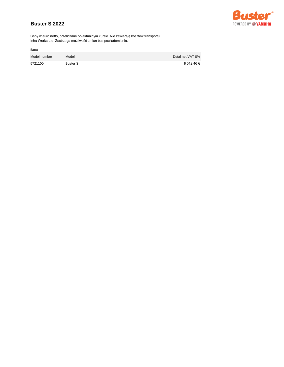## **Buster S 2022**



Ceny w euro netto, przeliczane po aktualnym kursie. Nie zawierają kosztow transportu. Inha Works Ltd. Zastrzega możliwość zmian bez powiadomienia.

| Model number | Model           | Detal net VAT 0% |
|--------------|-----------------|------------------|
| 5721100      | <b>Buster S</b> | 8 012.46 €       |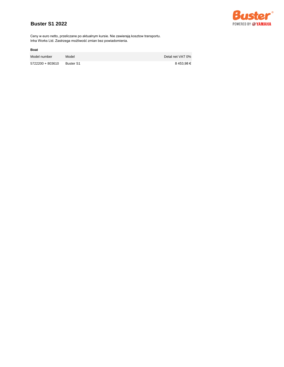## **Buster S1 2022**



Ceny w euro netto, przeliczane po aktualnym kursie. Nie zawierają kosztow transportu. Inha Works Ltd. Zastrzega możliwość zmian bez powiadomienia.

| Model number     | Model     | Detal net VAT 0% |
|------------------|-----------|------------------|
| 5722200 + 803610 | Buster S1 | 8 453.98 €       |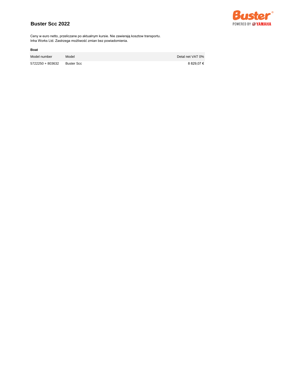## **Buster Scc 2022**



Ceny w euro netto, przeliczane po aktualnym kursie. Nie zawierają kosztow transportu. Inha Works Ltd. Zastrzega możliwość zmian bez powiadomienia.

| Model number     | Model      | Detal net VAT 0% |
|------------------|------------|------------------|
| 5722250 + 803632 | Buster Scc | 8 829.07 €       |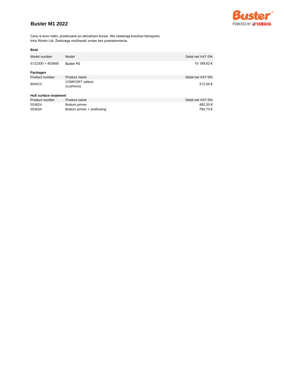## **Buster M1 2022**



Ceny w euro netto, przeliczane po aktualnym kursie. Nie zawierają kosztow transportu. Inha Works Ltd. Zastrzega możliwość zmian bez powiadomienia.

| Model number           | Model                         | Detal net VAT 0% |
|------------------------|-------------------------------|------------------|
| 5722300 + 803600       | <b>Buster M1</b>              | 10 189,62 €      |
| <b>Packages</b>        |                               |                  |
| Product number         | Product name                  | Detal net VAT 0% |
| 804013                 | COMFORT edition<br>(cushions) | 312,54 €         |
| Hull surface treatment |                               |                  |
| Product number         | Product name                  | Detal net VAT 0% |
| 553624                 | Bottom primer                 | 482,20€          |
| 553634                 | Bottom primer + antifouling   | 794.73€          |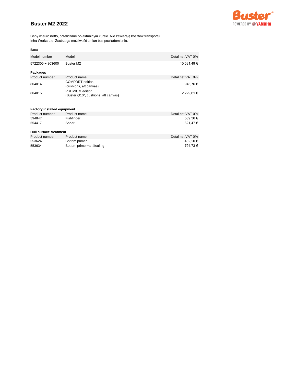## **Buster M2 2022**



Ceny w euro netto, przeliczane po aktualnym kursie. Nie zawierają kosztow transportu. Inha Works Ltd. Zastrzega możliwość zmian bez powiadomienia.

| Model number                       | Model                                                         | Detal net VAT 0% |
|------------------------------------|---------------------------------------------------------------|------------------|
| 5722305 + 803600                   | Buster M2                                                     | 10 531,49 €      |
| Packages                           |                                                               |                  |
| Product number                     | Product name                                                  | Detal net VAT 0% |
| 804014                             | <b>COMFORT</b> edition<br>(cushions, aft canvas)              | 948,76€          |
| 804015                             | <b>PREMIUM</b> edition<br>(Buster Q10", cushions, aft canvas) | 2 229,61 €       |
|                                    |                                                               |                  |
| <b>Factory installed equipment</b> |                                                               |                  |
| Product number                     | Product name                                                  | Detal net VAT 0% |
| 594847                             | Fishfinder                                                    | 589,36€          |
| 554417                             | Sonar                                                         | 321,47€          |
| Hull surface treatment             |                                                               |                  |
| Product number                     | Product name                                                  | Detal net VAT 0% |
| 553624                             | Bottom primer                                                 | 482,20€          |
| 553634                             | Bottom primer+antifouling                                     | 794,73€          |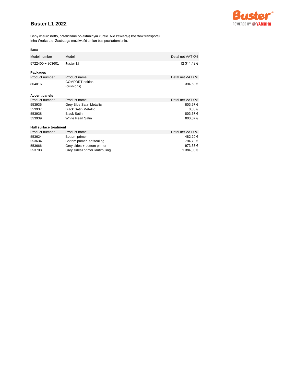## **Buster L1 2022**



Ceny w euro netto, przeliczane po aktualnym kursie. Nie zawierają kosztow transportu. Inha Works Ltd. Zastrzega możliwość zmian bez powiadomienia.

| Model number                  | Model                                | Detal net VAT 0% |
|-------------------------------|--------------------------------------|------------------|
| 5722400 + 803601              | Buster L1                            | 12 311,42 €      |
| Packages                      |                                      |                  |
| Product number                | Product name                         | Detal net VAT 0% |
| 804016                        | <b>COMFORT</b> edition<br>(cushions) | 394,60€          |
| <b>Accent panels</b>          |                                      |                  |
| Product number                | Product name                         | Detal net VAT 0% |
| 553936                        | Grey Blue Satin Metallic             | 803,67€          |
| 553937                        | <b>Black Satin Metallic</b>          | $0,00 \in$       |
| 553938                        | <b>Black Satin</b>                   | 803,67€          |
| 553939                        | <b>White Pearl Satin</b>             | 803,67€          |
| <b>Hull surface treatment</b> |                                      |                  |
| Product number                | Product name                         | Detal net VAT 0% |
| 553624                        | Bottom primer                        | 482,20€          |
| 553634                        | Bottom primer+antifouling            | 794,73€          |
| 553666                        | Grey sides + bottom primer           | 973,33 €         |
| 553708                        | Grey sides+primer+antifouling        | 1 384,08 €       |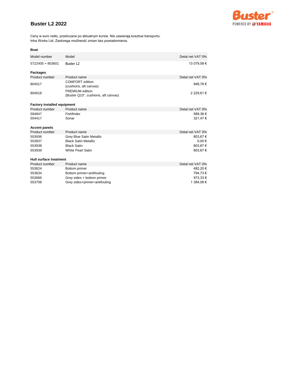## **Buster L2 2022**



Ceny w euro netto, przeliczane po aktualnym kursie. Nie zawierają kosztow transportu. Inha Works Ltd. Zastrzega możliwość zmian bez powiadomienia.

| Model number                       | Model                                                         | Detal net VAT 0% |
|------------------------------------|---------------------------------------------------------------|------------------|
| 5722405 + 803601                   | Buster L <sub>2</sub>                                         | 13 079,58 €      |
| <b>Packages</b>                    |                                                               |                  |
| Product number                     | Product name                                                  | Detal net VAT 0% |
| 804017                             | <b>COMFORT</b> edition<br>(cushions, aft canvas)              | 948,76€          |
| 804018                             | <b>PREMIUM</b> edition<br>(Buster Q10", cushions, aft canvas) | 2 229,61 €       |
| <b>Factory installed equipment</b> |                                                               |                  |
| Product number                     | Product name                                                  | Detal net VAT 0% |
| 594847                             | Fishfinder                                                    | 589,36€          |
| 554417                             | Sonar                                                         | 321,47€          |
| <b>Accent panels</b>               |                                                               |                  |
| Product number                     | Product name                                                  | Detal net VAT 0% |
| 553936                             | <b>Grey Blue Satin Metallic</b>                               | 803,67€          |
| 553937                             | <b>Black Satin Metallic</b>                                   | $0,00 \in$       |
| 553938                             | <b>Black Satin</b>                                            | 803,67€          |
| 553939                             | <b>White Pearl Satin</b>                                      | 803,67€          |
|                                    |                                                               |                  |
| Hull surface treatment             |                                                               |                  |
| Product number                     | Product name                                                  | Detal net VAT 0% |
| 553624                             | Bottom primer                                                 | 482,20€          |
| 553634                             | Bottom primer+antifouling                                     | 794,73€          |
| 553666                             | Grey sides + bottom primer                                    | 973,33€          |
| 553708                             | Grey sides+primer+antifouling                                 | 1 384,08 €       |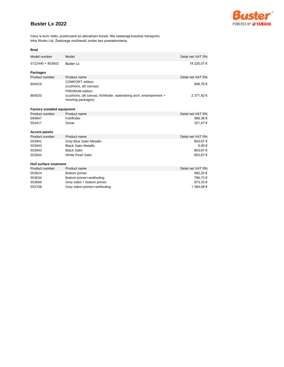### **Buster Lx 2022**



Ceny w euro netto, przeliczane po aktualnym kursie. Nie zawierają kosztow transportu. Inha Works Ltd. Zastrzega możliwość zmian bez powiadomienia.

| Model number                       | Model                                                                                     | Detal net VAT 0% |
|------------------------------------|-------------------------------------------------------------------------------------------|------------------|
| 5722440 + 803602                   | <b>Buster Lx</b>                                                                          | 18 220,07 €      |
| <b>Packages</b>                    |                                                                                           |                  |
| Product number                     | Product name                                                                              | Detal net VAT 0% |
| 804019                             | <b>COMFORT</b> edition<br>(cushions, aft canvas)<br>PREMIUM edition                       | 948,76€          |
| 804020                             | (cushions, aft canvas, fishfinder, waterskiing arch, entertainment +<br>mooring packages) | 2 371,92 €       |
| <b>Factory installed equipment</b> |                                                                                           |                  |
| Product number                     | Product name                                                                              | Detal net VAT 0% |
| 594847                             | Fishfinder                                                                                | 589,36€          |
| 554417                             | Sonar                                                                                     | 321,47€          |
| <b>Accent panels</b>               |                                                                                           |                  |
| Product number                     | Product name                                                                              | Detal net VAT 0% |
| 553941                             | <b>Grey Blue Satin Metallic</b>                                                           | 803,67€          |
| 553942                             | <b>Black Satin Metallic</b>                                                               | $0,00 \in$       |
| 553943                             | <b>Black Satin</b>                                                                        | 803,67€          |
| 553944                             | <b>White Pearl Satin</b>                                                                  | 803,67€          |
| Hull surface treatment             |                                                                                           |                  |
| Product number                     | Product name                                                                              | Detal net VAT 0% |
| 553624                             | Bottom primer                                                                             | 482,20€          |
| 553634                             | Bottom primer+antifouling                                                                 | 794,73€          |
| 553666                             | Grey sides + bottom primer                                                                | 973,33 €         |
| 553708                             | Grey sides+primer+antifouling                                                             | 1 384,08 €       |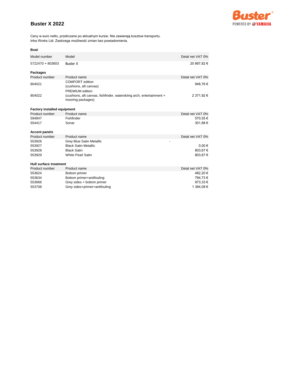# **Buster X 2022**



Ceny w euro netto, przeliczane po aktualnym kursie. Nie zawierają kosztow transportu. Inha Works Ltd. Zastrzega możliwość zmian bez powiadomienia.

| Model number                       | Model                                                                                     | Detal net VAT 0% |
|------------------------------------|-------------------------------------------------------------------------------------------|------------------|
| 5722470 + 803603                   | <b>Buster X</b>                                                                           | 20 867,82 €      |
| <b>Packages</b>                    |                                                                                           |                  |
| Product number                     | Product name                                                                              | Detal net VAT 0% |
| 804021                             | <b>COMFORT</b> edition<br>(cushions, aft canvas)                                          | 948,76€          |
|                                    | <b>PREMIUM</b> edition                                                                    |                  |
| 804022                             | (cushions, aft canvas, fishfinder, waterskiing arch, entertainment +<br>mooring packages) | 2 371,92 €       |
| <b>Factory installed equipment</b> |                                                                                           |                  |
| Product number                     | Product name                                                                              | Detal net VAT 0% |
| 594847                             | Fishfinder                                                                                | 570,55€          |
| 554417                             | Sonar                                                                                     | 301,88€          |
| <b>Accent panels</b>               |                                                                                           |                  |
| Product number                     | Product name                                                                              | Detal net VAT 0% |
| 553926                             | <b>Grey Blue Satin Metallic</b>                                                           |                  |
| 553927                             | <b>Black Satin Metallic</b>                                                               | $0.00 \in$       |
| 553928                             | <b>Black Satin</b>                                                                        | 803,67€          |
| 553929                             | <b>White Pearl Satin</b>                                                                  | 803,67€          |
| Hull surface treatment             |                                                                                           |                  |
| Product number                     | Product name                                                                              | Detal net VAT 0% |
| 553624                             | Bottom primer                                                                             | 482,20€          |
| 553634                             | Bottom primer+antifouling                                                                 | 794,73€          |
| 553666                             | Grey sides + bottom primer                                                                | 973,33€          |
| 553708                             | Grey sides+primer+antifouling                                                             | 1 384,08 €       |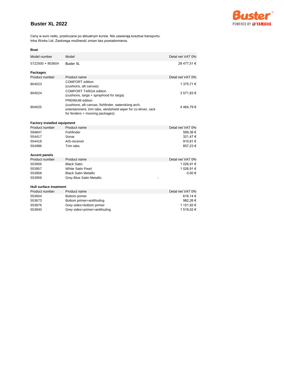## **Buster XL 2022**



Ceny w euro netto, przeliczane po aktualnym kursie. Nie zawierają kosztow transportu. Inha Works Ltd. Zastrzega możliwość zmian bez powiadomienia.

| Model number                       | Model                                                          | Detal net VAT 0% |
|------------------------------------|----------------------------------------------------------------|------------------|
| 5722500 + 803604                   | <b>Buster XL</b>                                               | 28 477,51 €      |
|                                    |                                                                |                  |
| <b>Packages</b>                    |                                                                |                  |
| Product number                     | Product name                                                   | Detal net VAT 0% |
| 804023                             | <b>COMFORT</b> edition<br>(cushions, aft canvas)               | 1 375,71 €       |
| 804024                             | <b>COMFORT TARGA edition</b>                                   | 3 571,83 €       |
|                                    | (cushions, targa + sprayhood for targa)                        |                  |
|                                    | PREMIUM edition                                                |                  |
| 804025                             | (cushions, aft canvas, fishfinder, waterskiing arch,           | 4464,79€         |
|                                    | entertainment, trim tabs, windshield wiper for co-driver, rack |                  |
|                                    | for fenders + mooring packages)                                |                  |
|                                    |                                                                |                  |
| <b>Factory installed equipment</b> |                                                                |                  |
| Product number                     | Product name                                                   | Detal net VAT 0% |
| 594847                             | Fishfinder                                                     | 589,36€          |
| 554417                             | Sonar                                                          | 321,47€          |
| 554418                             | AIS-receiver                                                   | 910,81€          |
| 554986                             | Trim tabs                                                      | 857,23€          |
|                                    |                                                                |                  |
| <b>Accent panels</b>               |                                                                |                  |
| Product number                     | Product name                                                   | Detal net VAT 0% |
| 553956                             | <b>Black Satin</b>                                             | 1 026,91 €       |
| 553957                             | <b>White Satin Pearl</b>                                       | 1 026,91 €       |
| 553958                             | <b>Black Satin Metallic</b>                                    | $0,00 \in$       |
| 553959                             | Grey Blue Satin Metallic                                       |                  |
| <b>Hull surface treatment</b>      |                                                                |                  |
| Product number                     | Product name                                                   | Detal net VAT 0% |
| 553604                             | Bottom primer                                                  | 616,14€          |
| 553673                             | Bottom primer+antifouling                                      | 982,26€          |
| 553876                             | Grey sides+bottom primer                                       | 1 151,92 €       |
| 553840                             | Grey sides+primer+antifouling                                  | 1 518,02 €       |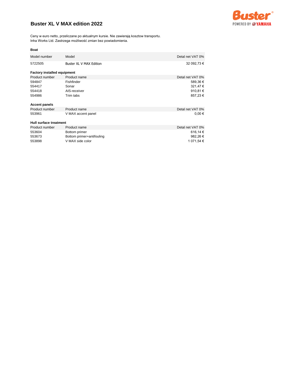## **Buster XL V MAX edition 2022**



Ceny w euro netto, przeliczane po aktualnym kursie. Nie zawierają kosztow transportu. Inha Works Ltd. Zastrzega możliwość zmian bez powiadomienia.

| ٠<br>w<br>$\sim$<br> |
|----------------------|
|----------------------|

| Model number                       | Model                     | Detal net VAT 0% |
|------------------------------------|---------------------------|------------------|
| 5722505                            | Buster XL V MAX Edition   | 32 092,73 €      |
| <b>Factory installed equipment</b> |                           |                  |
| Product number                     | Product name              | Detal net VAT 0% |
| 594847                             | Fishfinder                | 589,36€          |
| 554417                             | Sonar                     | 321,47€          |
| 554418                             | AIS-receiver              | 910,81€          |
| 554986                             | Trim tabs                 | 857,23€          |
| <b>Accent panels</b>               |                           |                  |
| Product number                     | Product name              | Detal net VAT 0% |
| 553961                             | V MAX accent panel        | $0,00 \in$       |
| Hull surface treatment             |                           |                  |
| Product number                     | Product name              | Detal net VAT 0% |
| 553604                             | Bottom primer             | 616,14€          |
| 553673                             | Bottom primer+antifouling | 982,26€          |
| 553898                             | V MAX side color          | 1 071,54 €       |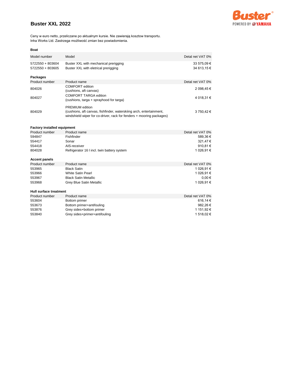## **Buster XXL 2022**



Ceny w euro netto, przeliczane po aktualnym kursie. Nie zawierają kosztow transportu. Inha Works Ltd. Zastrzega możliwość zmian bez powiadomienia.

### **Boat**

| Model number                         | Model                                                                                                                                                                 | Detal net VAT 0%           |
|--------------------------------------|-----------------------------------------------------------------------------------------------------------------------------------------------------------------------|----------------------------|
| 5722550 + 803604<br>5722550 + 803605 | Buster XXL with mechanical prerigging<br>Buster XXL with eletrical prerigging                                                                                         | 33 575,09 €<br>34 613.15 € |
| <b>Packages</b>                      |                                                                                                                                                                       |                            |
| Product number                       | Product name                                                                                                                                                          | Detal net VAT 0%           |
| 804026                               | COMFORT edition<br>(cushions, aft canvas)                                                                                                                             | 2 098,45 €                 |
| 804027                               | COMFORT TARGA edition<br>(cushions, targa + sprayhood for targa)                                                                                                      | 4 018,31 €                 |
| 804029                               | <b>PREMIUM</b> edition<br>(cushions, aft canvas, fishfinder, waterskiing arch, entertainment,<br>windshield wiper for co-driver, rack for fenders + mooring packages) | 3 750,42 €                 |

### **Factory installed equipment**

| Product number                | Product name                                | Detal net VAT 0% |
|-------------------------------|---------------------------------------------|------------------|
| 594847                        | Fishfinder                                  | 589,36€          |
| 554417                        | Sonar                                       | 321,47€          |
| 554418                        | AIS-receiver                                | 910,81€          |
| 804028                        | Refrigerator 16 I incl. twin battery system | 1 026,91 €       |
| <b>Accent panels</b>          |                                             |                  |
| Product number                | Product name                                | Detal net VAT 0% |
| 553965                        | <b>Black Satin</b>                          | 1 026,91 €       |
| 553966                        | <b>White Satin Pearl</b>                    | 1 026,91 €       |
| 553967                        | <b>Black Satin Metallic</b>                 | $0.00 \in$       |
| 553968                        | Grey Blue Satin Metallic                    | 1 026,91 €       |
| <b>Hull surface treatment</b> |                                             |                  |
| Product number                | Product name                                | Detal net VAT 0% |
| 553604                        | Bottom primer                               | 616,14€          |
| 553673                        | Bottom primer+antifouling                   | 982,26€          |
| 553876                        | Grey sides+bottom primer                    | 1 151,92 €       |
| 553840                        | Grey sides+primer+antifouling               | 1 518,02 €       |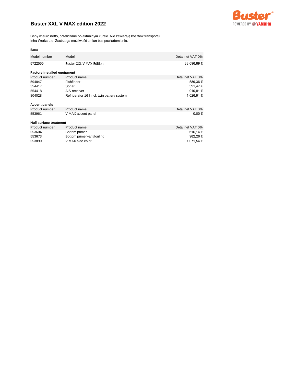## **Buster XXL V MAX edition 2022**



Ceny w euro netto, przeliczane po aktualnym kursie. Nie zawierają kosztow transportu. Inha Works Ltd. Zastrzega możliwość zmian bez powiadomienia.

| <b>Boat</b>                        |                                             |                  |
|------------------------------------|---------------------------------------------|------------------|
| Model number                       | Model                                       | Detal net VAT 0% |
| 5722555                            | Buster XXL V MAX Edition                    | 38 096,89 €      |
| <b>Factory installed equipment</b> |                                             |                  |
| Product number                     | Product name                                | Detal net VAT 0% |
| 594847                             | Fishfinder                                  | 589,36€          |
| 554417                             | Sonar                                       | 321,47€          |
| 554418                             | AIS-receiver                                | 910,81€          |
| 804028                             | Refrigerator 16 I incl. twin battery system | 1 026,91 €       |
| <b>Accent panels</b>               |                                             |                  |
| Product number                     | Product name                                | Detal net VAT 0% |
| 553961                             | V MAX accent panel                          | $0,00 \in$       |
| <b>Hull surface treatment</b>      |                                             |                  |
| Product number                     | Product name                                | Detal net VAT 0% |
| 553604                             | Bottom primer                               | 616,14€          |
| 553673                             | Bottom primer+antifouling                   | 982,26€          |
| 553899                             | V MAX side color                            | 1 071,54 €       |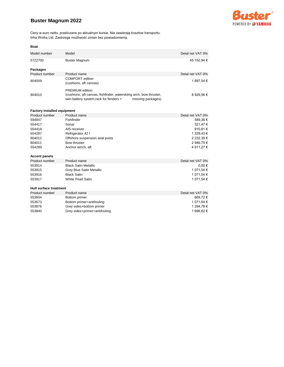## **Buster Magnum 2022**



Ceny w euro netto, przeliczane po aktualnym kursie. Nie zawierają kosztow transportu. Inha Works Ltd. Zastrzega możliwość zmian bez powiadomienia.

| <b>Boat</b>                        |                                                                                                                                                              |                  |
|------------------------------------|--------------------------------------------------------------------------------------------------------------------------------------------------------------|------------------|
| Model number                       | Model                                                                                                                                                        | Detal net VAT 0% |
| 5722700                            | <b>Buster Magnum</b>                                                                                                                                         | 45 152,94 €      |
| <b>Packages</b>                    |                                                                                                                                                              |                  |
| Product number                     | Product name                                                                                                                                                 | Detal net VAT 0% |
| 804009                             | <b>COMFORT</b> edition<br>(cushions, aft canvas)                                                                                                             | 1 897,54 €       |
| 804010                             | <b>PREMIUM</b> edition<br>(cushions, aft canvas, fishfinder, waterskiing arch, bow thruster,<br>twin battery system, rack for fenders +<br>mooring packages) | 8 929,56 €       |
| <b>Factory installed equipment</b> |                                                                                                                                                              |                  |
| Product number                     | Product name                                                                                                                                                 | Detal net VAT 0% |
| 594847                             | Fishfinder                                                                                                                                                   | 589,36€          |
| 554417                             | Sonar                                                                                                                                                        | 321,47€          |
| 554418                             | AIS-receiver                                                                                                                                                 | 910,81€          |
| 554287                             | Refrigerator 42 I                                                                                                                                            | 1 339,43 €       |
| 804012                             | Offshore suspension seat posts                                                                                                                               | 2 232,39 €       |
| 804011                             | Bow thruster                                                                                                                                                 | 2 946,75 €       |
| 554289                             | Anchor winch, aft                                                                                                                                            | 4 911,27 €       |
| <b>Accent panels</b>               |                                                                                                                                                              |                  |
| Product number                     | Product name                                                                                                                                                 | Detal net VAT 0% |
| 553914                             | <b>Black Satin Metallic</b>                                                                                                                                  | $0,00 \in$       |
| 553915                             | Grey Blue Satin Metallic                                                                                                                                     | 1 071,54 €       |
| 553916                             | <b>Black Satin</b>                                                                                                                                           | 1 071,54 €       |
| 553917                             | <b>White Pearl Satin</b>                                                                                                                                     | 1 071,54 €       |
| <b>Hull surface treatment</b>      |                                                                                                                                                              |                  |
| Product number                     | Product name                                                                                                                                                 | Detal net VAT 0% |
| 553604                             | Bottom primer                                                                                                                                                | 669,72€          |
| 553673                             | Bottom primer+antifouling                                                                                                                                    | 1 071,54 €       |
| 553876                             | Grey sides+bottom primer                                                                                                                                     | 1 294,78 €       |
| 553840                             | Grey sides+primer+antifouling                                                                                                                                | 1 696,62 €       |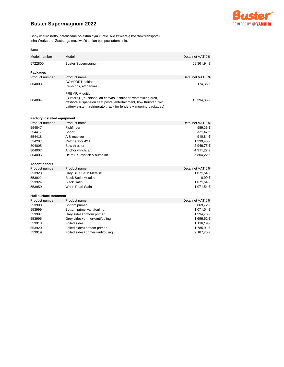

# **Buster Supermagnum 2022**

Ceny w euro netto, przeliczane po aktualnym kursie. Nie zawierają kosztow transportu. Inha Works Ltd. Zastrzega możliwość zmian bez powiadomienia.

### **Boat**

| Model number                       | Model                                                                                                                                                                                                                                | Detal net VAT 0% |  |
|------------------------------------|--------------------------------------------------------------------------------------------------------------------------------------------------------------------------------------------------------------------------------------|------------------|--|
| 5722800                            | <b>Buster Supermagnum</b>                                                                                                                                                                                                            | 53 361,94 €      |  |
| Packages                           |                                                                                                                                                                                                                                      |                  |  |
| Product number                     | Product name                                                                                                                                                                                                                         | Detal net VAT 0% |  |
| 804003                             | <b>COMFORT</b> edition<br>(cushions, aft canvas)                                                                                                                                                                                     | 2 174,35 €       |  |
| 804004                             | <b>PREMIUM</b> edition<br>(Buster Q+, cushions, aft canvas, fishfinder, waterskiing arch,<br>offshore suspension seat posts, entertainment, bow thruster, twin<br>battery system, refrigerator, rack for fenders + mooring packages) | 13 394,35 €      |  |
| <b>Factory installed equipment</b> |                                                                                                                                                                                                                                      |                  |  |
| Product number                     | Product name                                                                                                                                                                                                                         | Detal net VAT 0% |  |
| <b>EO1017</b>                      | <b>Eichfinder</b>                                                                                                                                                                                                                    | EQQQQQQ          |  |

| 594847 | Fishfinder                   | 589.36€      |
|--------|------------------------------|--------------|
| 554417 | Sonar                        | 321.47€      |
| 554418 | AIS-receiver                 | 910.81 $\in$ |
| 554287 | Refrigerator 42 I            | 1 339.43 €   |
| 804005 | Bow thruster                 | 2 946.75 €   |
| 804007 | Anchor winch, aft            | 4 911.27 €   |
| 804006 | Helm EX joystick & autopilot | 5 804.22 €   |
|        |                              |              |

### **Accent panels**

| Product number | Product name                | Detal net VAT 0% |
|----------------|-----------------------------|------------------|
| 553923         | Grey Blue Satin Metallic    | 1 071.54 €       |
| 553922         | <b>Black Satin Metallic</b> | $0.00 \in$       |
| 553924         | Black Satin                 | 1 071.54 €       |
| 553950         | <b>White Pearl Satin</b>    | 1 071.54 €       |

### **Hull surface treatment**

| Product number | Product name                    | Detal net VAT 0% |
|----------------|---------------------------------|------------------|
| 553998         | Bottom primer                   | 669.72€          |
| 553999         | Bottom primer+antifouling       | 1 071.54 €       |
| 553997         | Grey sides+bottom primer        | 1 294.78 €       |
| 553996         | Grey sides+primer+antifouling   | 1 696.62 €       |
| 553918         | Foiled sides                    | 1 116.19 €       |
| 553920         | Foiled sides+bottom primer      | 1785.91€         |
| 553919         | Foiled sides+primer+antifouling | 2 187.75 €       |